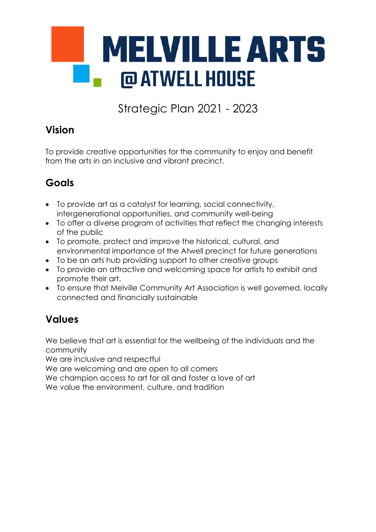

Strategic Plan 2021 - 2023

# **Vision**

To provide creative opportunities for the community to enjoy and benefit from the arts in an inclusive and vibrant precinct.

# **Goals**

- To provide art as a catalyst for learning, social connectivity, intergenerational opportunities, and community well-being
- To offer a diverse program of activities that reflect the changing interests of the public
- To promote, protect and improve the historical, cultural, and environmental importance of the Atwell precinct for future generations
- To be an arts hub providing support to other creative groups
- To provide an attractive and welcoming space for artists to exhibit and promote their art.
- To ensure that Melville Community Art Association is well governed, locally connected and financially sustainable

# **Values**

We believe that art is essential for the wellbeing of the individuals and the community

We are inclusive and respectful

We are welcoming and are open to all comers

We champion access to art for all and foster a love of art

We value the environment, culture, and tradition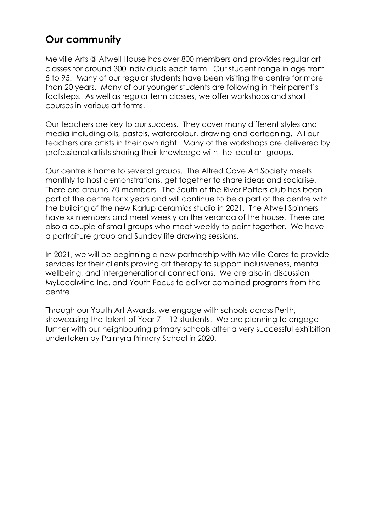## **Our community**

Melville Arts @ Atwell House has over 800 members and provides regular art classes for around 300 individuals each term. Our student range in age from 5 to 95. Many of our regular students have been visiting the centre for more than 20 years. Many of our younger students are following in their parent's footsteps. As well as regular term classes, we offer workshops and short courses in various art forms.

Our teachers are key to our success. They cover many different styles and media including oils, pastels, watercolour, drawing and cartooning. All our teachers are artists in their own right. Many of the workshops are delivered by professional artists sharing their knowledge with the local art groups.

Our centre is home to several groups. The Alfred Cove Art Society meets monthly to host demonstrations, get together to share ideas and socialise. There are around 70 members. The South of the River Potters club has been part of the centre for x years and will continue to be a part of the centre with the building of the new Karlup ceramics studio in 2021. The Atwell Spinners have xx members and meet weekly on the veranda of the house. There are also a couple of small groups who meet weekly to paint together. We have a portraiture group and Sunday life drawing sessions.

In 2021, we will be beginning a new partnership with Melville Cares to provide services for their clients proving art therapy to support inclusiveness, mental wellbeing, and intergenerational connections. We are also in discussion MyLocalMind Inc. and Youth Focus to deliver combined programs from the centre.

Through our Youth Art Awards, we engage with schools across Perth, showcasing the talent of Year 7 – 12 students. We are planning to engage further with our neighbouring primary schools after a very successful exhibition undertaken by Palmyra Primary School in 2020.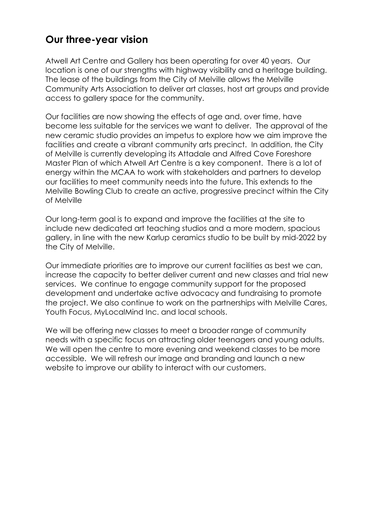## **Our three-year vision**

Atwell Art Centre and Gallery has been operating for over 40 years. Our location is one of our strengths with highway visibility and a heritage building. The lease of the buildings from the City of Melville allows the Melville Community Arts Association to deliver art classes, host art groups and provide access to gallery space for the community.

Our facilities are now showing the effects of age and, over time, have become less suitable for the services we want to deliver. The approval of the new ceramic studio provides an impetus to explore how we aim improve the facilities and create a vibrant community arts precinct. In addition, the City of Melville is currently developing its Attadale and Alfred Cove Foreshore Master Plan of which Atwell Art Centre is a key component. There is a lot of energy within the MCAA to work with stakeholders and partners to develop our facilities to meet community needs into the future. This extends to the Melville Bowling Club to create an active, progressive precinct within the City of Melville

Our long-term goal is to expand and improve the facilities at the site to include new dedicated art teaching studios and a more modern, spacious gallery, in line with the new Karlup ceramics studio to be built by mid-2022 by the City of Melville.

Our immediate priorities are to improve our current facilities as best we can, increase the capacity to better deliver current and new classes and trial new services. We continue to engage community support for the proposed development and undertake active advocacy and fundraising to promote the project. We also continue to work on the partnerships with Melville Cares, Youth Focus, MyLocalMind Inc. and local schools.

We will be offering new classes to meet a broader range of community needs with a specific focus on attracting older teenagers and young adults. We will open the centre to more evening and weekend classes to be more accessible. We will refresh our image and branding and launch a new website to improve our ability to interact with our customers.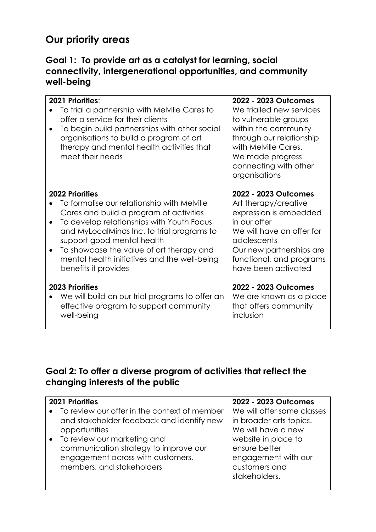# **Our priority areas**

#### **Goal 1: To provide art as a catalyst for learning, social connectivity, intergenerational opportunities, and community well-being**

|           | 2021 Priorities:<br>To trial a partnership with Melville Cares to<br>offer a service for their clients<br>To begin build partnerships with other social<br>organisations to build a program of art<br>therapy and mental health activities that<br>meet their needs                                                                                           | 2022 - 2023 Outcomes<br>We trialled new services<br>to vulnerable groups<br>within the community<br>through our relationship<br>with Melville Cares.<br>We made progress<br>connecting with other<br>organisations |
|-----------|---------------------------------------------------------------------------------------------------------------------------------------------------------------------------------------------------------------------------------------------------------------------------------------------------------------------------------------------------------------|--------------------------------------------------------------------------------------------------------------------------------------------------------------------------------------------------------------------|
| $\bullet$ | <b>2022 Priorities</b><br>To formalise our relationship with Melville<br>Cares and build a program of activities<br>To develop relationships with Youth Focus<br>and MyLocalMinds Inc. to trial programs to<br>support good mental health<br>To showcase the value of art therapy and<br>mental health initiatives and the well-being<br>benefits it provides | 2022 - 2023 Outcomes<br>Art therapy/creative<br>expression is embedded<br>in our offer<br>We will have an offer for<br>adolescents<br>Our new partnerships are<br>functional, and programs<br>have been activated  |
|           | <b>2023 Priorities</b><br>We will build on our trial programs to offer an<br>effective program to support community<br>well-being                                                                                                                                                                                                                             | 2022 - 2023 Outcomes<br>We are known as a place<br>that offers community<br>inclusion                                                                                                                              |

### **Goal 2: To offer a diverse program of activities that reflect the changing interests of the public**

| <b>2021 Priorities</b> |                                                | 2022 - 2023 Outcomes       |  |
|------------------------|------------------------------------------------|----------------------------|--|
|                        | • To review our offer in the context of member | We will offer some classes |  |
|                        | and stakeholder feedback and identify new      | in broader arts topics.    |  |
|                        | opportunities                                  | We will have a new         |  |
|                        | To review our marketing and                    | website in place to        |  |
|                        | communication strategy to improve our          | ensure better              |  |
|                        | engagement across with customers,              | engagement with our        |  |
|                        | members, and stakeholders                      | customers and              |  |
|                        |                                                | stakeholders.              |  |
|                        |                                                |                            |  |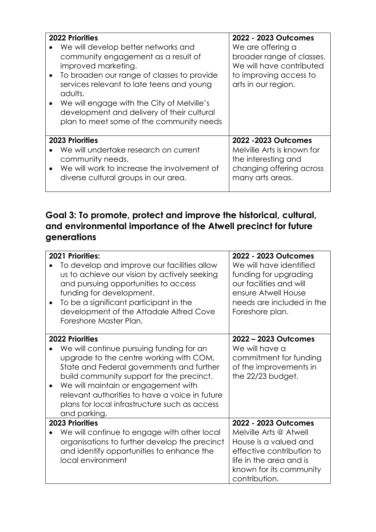| $\bullet$ | <b>2022 Priorities</b><br>We will develop better networks and<br>community engagement as a result of<br>improved marketing.<br>To broaden our range of classes to provide<br>services relevant to late teens and young<br>adults.<br>We will engage with the City of Melville's<br>development and delivery of their cultural<br>plan to meet some of the community needs | 2022 - 2023 Outcomes<br>We are offering a<br>broader range of classes.<br>We will have contributed<br>to improving access to<br>arts in our region. |
|-----------|---------------------------------------------------------------------------------------------------------------------------------------------------------------------------------------------------------------------------------------------------------------------------------------------------------------------------------------------------------------------------|-----------------------------------------------------------------------------------------------------------------------------------------------------|
|           | <b>2023 Priorities</b><br>We will undertake research on current<br>community needs.<br>We will work to increase the involvement of<br>diverse cultural groups in our area.                                                                                                                                                                                                | 2022 - 2023 Outcomes<br>Melville Arts is known for<br>the interesting and<br>changing offering across<br>many arts areas.                           |

### **Goal 3: To promote, protect and improve the historical, cultural, and environmental importance of the Atwell precinct for future generations**

| $\bullet$ | 2021 Priorities:<br>To develop and improve our facilities allow<br>us to achieve our vision by actively seeking<br>and pursuing opportunities to access<br>funding for development.<br>To be a significant participant in the<br>development of the Attadale Alfred Cove<br>Foreshore Master Plan.                                                                | 2022 - 2023 Outcomes<br>We will have identified<br>funding for upgrading<br>our facilities and will<br>ensure Atwell House<br>needs are included in the<br>Foreshore plan.  |
|-----------|-------------------------------------------------------------------------------------------------------------------------------------------------------------------------------------------------------------------------------------------------------------------------------------------------------------------------------------------------------------------|-----------------------------------------------------------------------------------------------------------------------------------------------------------------------------|
| $\bullet$ | <b>2022 Priorities</b><br>We will continue pursuing funding for an<br>upgrade to the centre working with COM,<br>State and Federal governments and further<br>build community support for the precinct.<br>We will maintain or engagement with<br>relevant authorities to have a voice in future<br>plans for local infrastructure such as access<br>and parking. | 2022 - 2023 Outcomes<br>We will have a<br>commitment for funding<br>of the improvements in<br>the 22/23 budget.                                                             |
|           | <b>2023 Priorities</b><br>We will continue to engage with other local<br>organisations to further develop the precinct<br>and identify opportunities to enhance the<br>local environment                                                                                                                                                                          | 2022 - 2023 Outcomes<br>Melville Arts @ Atwell<br>House is a valued and<br>effective contribution to<br>life in the area and is<br>known for its community<br>contribution. |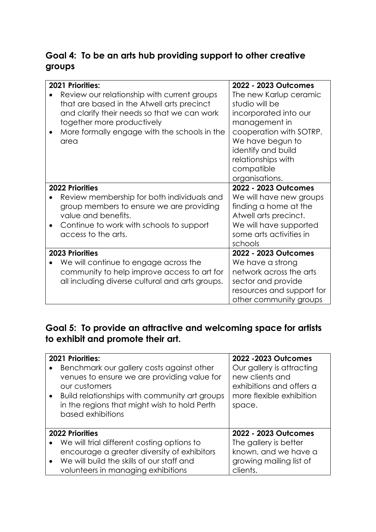### **Goal 4: To be an arts hub providing support to other creative groups**

| <b>2021 Priorities:</b>                                                                                                                                                                                                        | 2022 - 2023 Outcomes                                                                                                                                                                                          |
|--------------------------------------------------------------------------------------------------------------------------------------------------------------------------------------------------------------------------------|---------------------------------------------------------------------------------------------------------------------------------------------------------------------------------------------------------------|
| Review our relationship with current groups<br>that are based in the Atwell arts precinct<br>and clarify their needs so that we can work<br>together more productively<br>More formally engage with the schools in the<br>area | The new Karlup ceramic<br>studio will be<br>incorporated into our<br>management in<br>cooperation with SOTRP.<br>We have begun to<br>identify and build<br>relationships with<br>compatible<br>organisations. |
| <b>2022 Priorities</b><br>Review membership for both individuals and<br>group members to ensure we are providing<br>value and benefits.<br>Continue to work with schools to support<br>access to the arts.                     | 2022 - 2023 Outcomes<br>We will have new groups<br>finding a home at the<br>Atwell arts precinct.<br>We will have supported<br>some arts activities in<br>schools                                             |
| <b>2023 Priorities</b><br>We will continue to engage across the<br>community to help improve access to art for<br>all including diverse cultural and arts groups.                                                              | 2022 - 2023 Outcomes<br>We have a strong<br>network across the arts<br>sector and provide<br>resources and support for<br>other community groups                                                              |

## **Goal 5: To provide an attractive and welcoming space for artists to exhibit and promote their art.**

| $\bullet$ | 2021 Priorities:<br>Benchmark our gallery costs against other<br>venues to ensure we are providing value for<br>our customers<br>Build relationships with community art groups<br>in the regions that might wish to hold Perth<br>based exhibitions | 2022 - 2023 Outcomes<br>Our gallery is attracting<br>new clients and<br>exhibitions and offers a<br>more flexible exhibition<br>space. |
|-----------|-----------------------------------------------------------------------------------------------------------------------------------------------------------------------------------------------------------------------------------------------------|----------------------------------------------------------------------------------------------------------------------------------------|
|           | <b>2022 Priorities</b>                                                                                                                                                                                                                              | 2022 - 2023 Outcomes                                                                                                                   |
| $\bullet$ | We will trial different costing options to                                                                                                                                                                                                          | The gallery is better                                                                                                                  |
|           | encourage a greater diversity of exhibitors                                                                                                                                                                                                         | known, and we have a                                                                                                                   |
| $\bullet$ | We will build the skills of our staff and                                                                                                                                                                                                           | growing mailing list of                                                                                                                |
|           | volunteers in managing exhibitions                                                                                                                                                                                                                  | clients.                                                                                                                               |